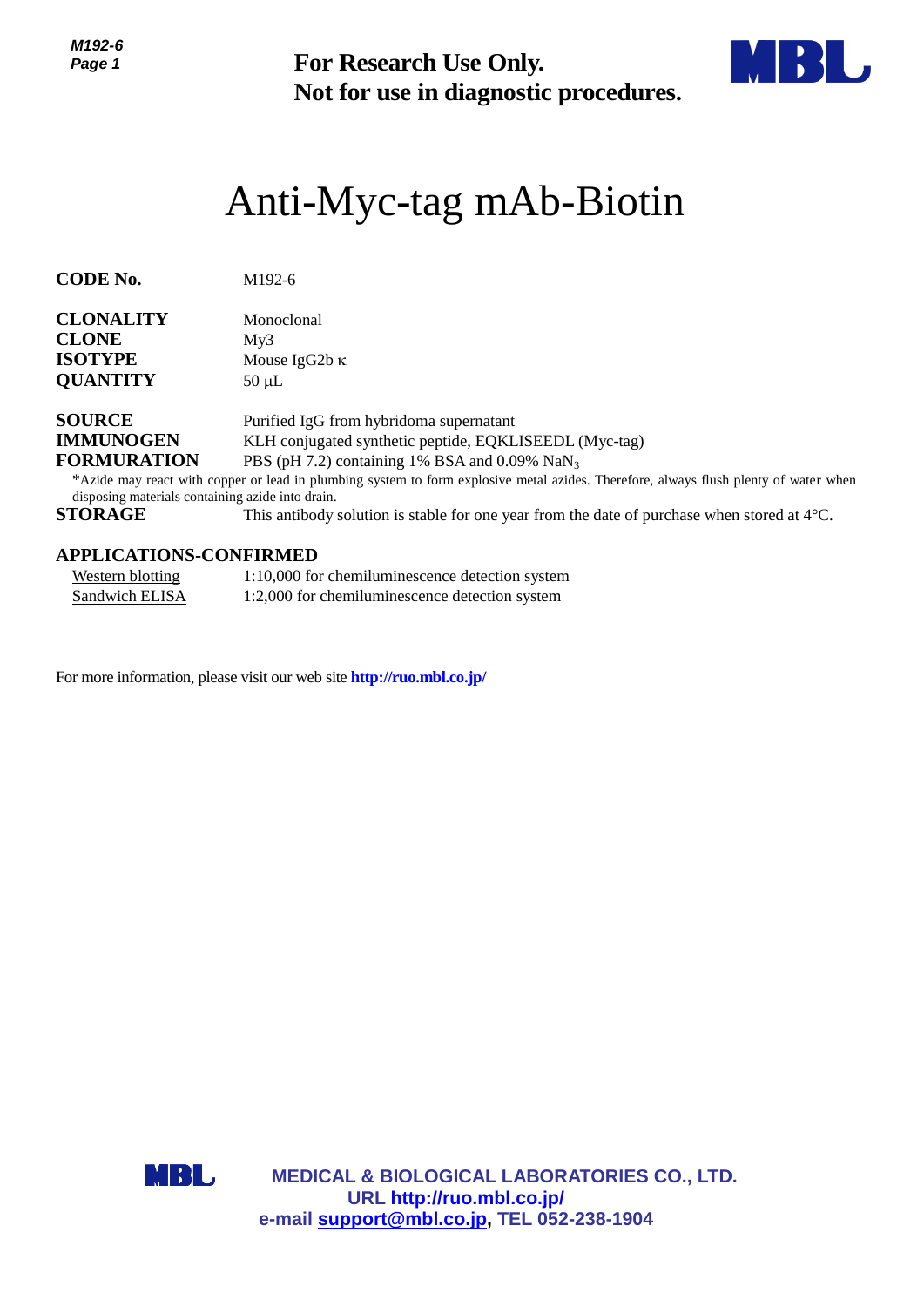*M192-6 Page 1*

**Not for use in diagnostic procedures.**



# Anti-Myc-tag mAb-Biotin

| CODE No.         | M <sub>192-6</sub> |
|------------------|--------------------|
| <b>CLONALITY</b> | Monoclonal         |

| ероварна п      | TVIULUUILIAI         |
|-----------------|----------------------|
| <b>CLONE</b>    | Mv3                  |
| <b>ISOTYPE</b>  | Mouse $IgG2b \kappa$ |
| <b>QUANTITY</b> | $50 \mu L$           |

| <b>SOURCE</b>      | Purified IgG from hybridoma supernatant                        |
|--------------------|----------------------------------------------------------------|
| <b>IMMUNOGEN</b>   | KLH conjugated synthetic peptide, EQKLISEEDL (Myc-tag)         |
| <b>FORMURATION</b> | PBS (pH 7.2) containing 1% BSA and 0.09% $\text{Na}\text{N}_3$ |

\*Azide may react with copper or lead in plumbing system to form explosive metal azides. Therefore, always flush plenty of water when disposing materials containing azide into drain.

**STORAGE** This antibody solution is stable for one year from the date of purchase when stored at 4°C.

#### **APPLICATIONS-CONFIRMED**

| Western blotting | 1:10,000 for chemiluminescence detection system |
|------------------|-------------------------------------------------|
| Sandwich ELISA   | 1:2,000 for chemiluminescence detection system  |

For more information, please visit our web site **http://ruo.mbl.co.jp/**



**MEDICAL & BIOLOGICAL LABORATORIES CO., LTD. URL [http://ruo.mbl.co.jp/](https://ruo.mbl.co.jp/)** For Research Use Only.<br>
Not for use in diagnostic procedure<br>
minimized procedure<br>
1924<br>
1924<br>
1924<br>
1924<br>
1926<br>
1925<br>
1925<br>
1926<br>
1927<br>
1926<br>
1927<br>
1926<br>
1927<br>
1920<br>
1938<br>
1936<br>
1937<br>
1939<br>
1939<br>
1939<br>
1939<br>
1930<br>
1930<br>
19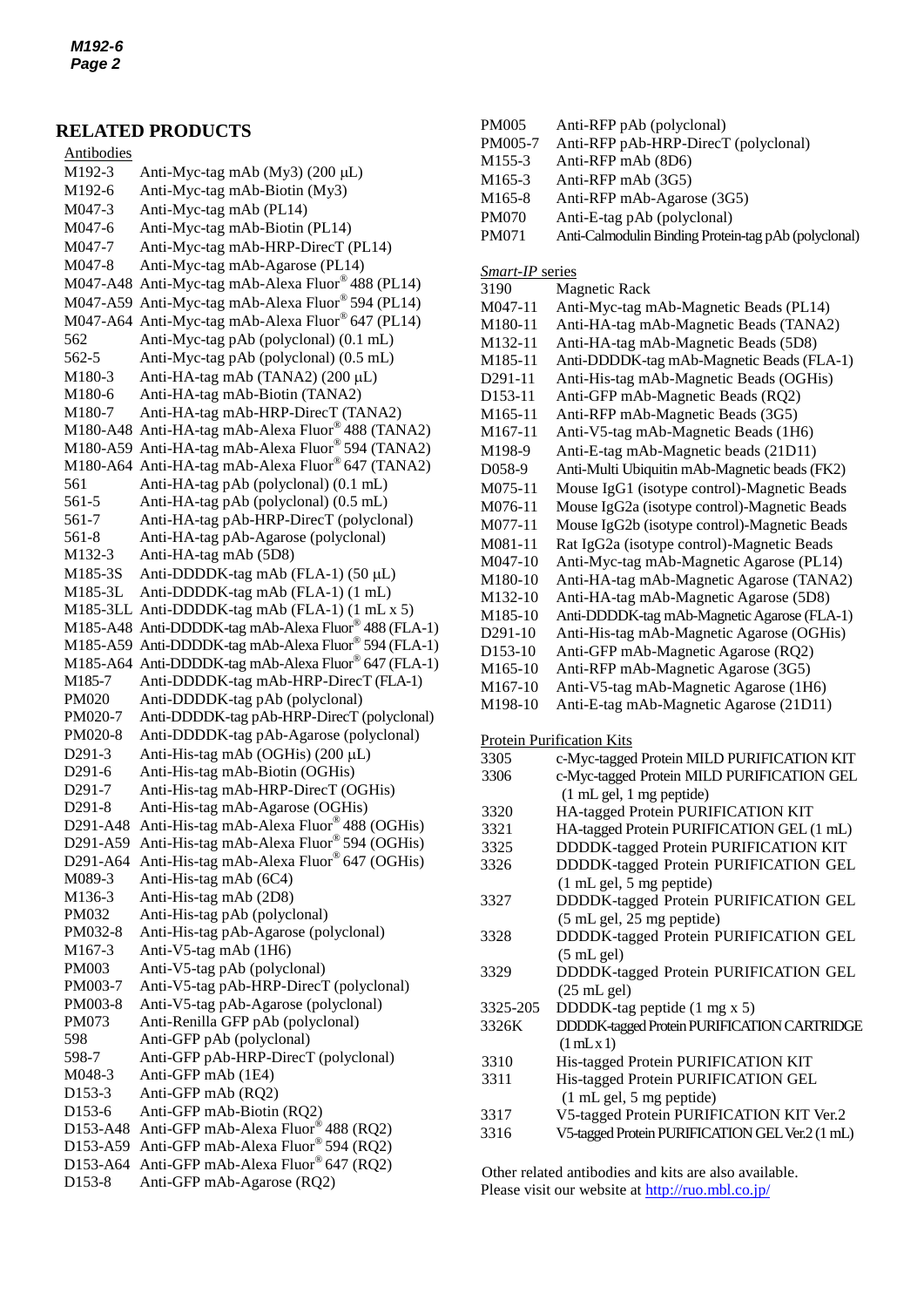#### **RELATED PRODUCTS**

**M192-3** Anti-Myc-tag mAb (My3) (200 μL) Antibodies M192-6 Anti-Myc-tag mAb-Biotin (My3) M047-3 Anti-Myc-tag mAb (PL14) M047-6 Anti-Myc-tag mAb-Biotin (PL14) M047-7 Anti-Myc-tag mAb-HRP-DirecT (PL14) M047-8 Anti-Myc-tag mAb-Agarose (PL14) M047-A48 Anti-Myc-tag mAb-Alexa Fluor® 488 (PL14) M047-A59 Anti-Myc-tag mAb-Alexa Fluor® 594 (PL14) M047-A64 Anti-Myc-tag mAb-Alexa Fluor® 647 (PL14) 562 Anti-Myc-tag pAb (polyclonal) (0.1 mL) 562-5 Anti-Myc-tag pAb (polyclonal) (0.5 mL) M180-3 Anti-HA-tag mAb (TANA2)  $(200 \mu L)$ M180-6 Anti-HA-tag mAb-Biotin (TANA2) M180-7 Anti-HA-tag mAb-HRP-DirecT (TANA2) M180-A48 Anti-HA-tag mAb-Alexa Fluor® 488 (TANA2) M180-A59 Anti-HA-tag mAb-Alexa Fluor® 594 (TANA2) M180-A64 Anti-HA-tag mAb-Alexa Fluor® 647 (TANA2) 561 Anti-HA-tag pAb (polyclonal) (0.1 mL) 561-5 Anti-HA-tag pAb (polyclonal) (0.5 mL) 561-7 Anti-HA-tag pAb-HRP-DirecT (polyclonal) 561-8 Anti-HA-tag pAb-Agarose (polyclonal) M132-3 Anti-HA-tag mAb (5D8) M185-3S Anti-DDDDK-tag mAb (FLA-1) (50  $\mu$ L) M185-3L Anti-DDDDK-tag mAb (FLA-1) (1 mL) M185-3LL Anti-DDDDK-tag mAb (FLA-1) (1 mL x 5) M185-A48 Anti-DDDDK-tag mAb-Alexa Fluor® 488 (FLA-1) M185-A59 Anti-DDDDK-tag mAb-Alexa Fluor® 594 (FLA-1) M185-A64 Anti-DDDDK-tag mAb-Alexa Fluor® 647 (FLA-1) M185-7 [Anti-DDDDK-tag mAb-HRP-DirecT](http://ruo.mbl.co.jp/dtl/A/M185-7/) (FLA-1) PM020 Anti-DDDDK-tag pAb (polyclonal) PM020-7 Anti-DDDDK-tag pAb-HRP-DirecT (polyclonal) PM020-8 Anti-DDDDK-tag pAb-Agarose (polyclonal) D291-3 Anti-His-tag mAb (OGHis)  $(200 \text{ µ})$ D291-6 Anti-His-tag mAb-Biotin (OGHis) D291-7 Anti-His-tag mAb-HRP-DirecT (OGHis) D291-8 Anti-His-tag mAb-Agarose (OGHis) D291-A48 Anti-His-tag mAb-Alexa Fluor® 488 (OGHis) D291-A59 Anti-His-tag mAb-Alexa Fluor® 594 (OGHis) D291-A64 Anti-His-tag mAb-Alexa Fluor® 647 (OGHis) M089-3 Anti-His-tag mAb (6C4) M136-3 Anti-His-tag mAb (2D8) PM032 Anti-His-tag pAb (polyclonal) PM032-8 Anti-His-tag pAb-Agarose (polyclonal) M167-3 Anti-V5-tag mAb (1H6) PM003 Anti-V5-tag pAb (polyclonal) PM003-7 Anti-V5-tag pAb-HRP-DirecT (polyclonal) PM003-8 Anti-V5-tag pAb-Agarose (polyclonal) PM073 Anti-Renilla GFP pAb (polyclonal) 598 Anti-GFP pAb (polyclonal) 598-7 Anti-GFP pAb-HRP-DirecT (polyclonal) M048-3 Anti-GFP mAb (1E4) D153-3 Anti-GFP mAb (RQ2) D153-6 Anti-GFP mAb-Biotin (RQ2) D153-A48 Anti-GFP mAb-Alexa Fluor® 488 (RQ2) D153-A59 Anti-GFP mAb-Alexa Fluor® 594 (RQ2) D153-A64 Anti-GFP mAb-Alexa Fluor® 647 (RQ2) D153-8 Anti-GFP mAb-Agarose (RQ2)

| PM005-7                                  | Anti-RFP pAb-HRP-DirecT (polyclonal)                 |  |
|------------------------------------------|------------------------------------------------------|--|
| M155-3                                   | Anti-RFP mAb (8D6)                                   |  |
| M165-3                                   | Anti-RFP mAb (3G5)                                   |  |
| M165-8                                   | Anti-RFP mAb-Agarose (3G5)                           |  |
| <b>PM070</b>                             | Anti-E-tag pAb (polyclonal)                          |  |
| PM071                                    | Anti-Calmodulin Binding Protein-tag pAb (polyclonal) |  |
|                                          |                                                      |  |
| <b>Smart-IP</b> series                   |                                                      |  |
| 3190                                     | Magnetic Rack                                        |  |
| M047-11                                  | Anti-Myc-tag mAb-Magnetic Beads (PL14)               |  |
| M180-11                                  | Anti-HA-tag mAb-Magnetic Beads (TANA2)               |  |
| M132-11                                  | Anti-HA-tag mAb-Magnetic Beads (5D8)                 |  |
| M185-11                                  | Anti-DDDDK-tag mAb-Magnetic Beads (FLA-1)            |  |
| D291-11                                  | Anti-His-tag mAb-Magnetic Beads (OGHis)              |  |
| D153-11                                  | Anti-GFP mAb-Magnetic Beads (RQ2)                    |  |
|                                          |                                                      |  |
| M165-11                                  | Anti-RFP mAb-Magnetic Beads (3G5)                    |  |
| M167-11                                  | Anti-V5-tag mAb-Magnetic Beads (1H6)                 |  |
| M198-9                                   | Anti-E-tag mAb-Magnetic beads (21D11)                |  |
| D058-9                                   | Anti-Multi Ubiquitin mAb-Magnetic beads (FK2)        |  |
| M075-11                                  | Mouse IgG1 (isotype control)-Magnetic Beads          |  |
| M076-11                                  | Mouse IgG2a (isotype control)-Magnetic Beads         |  |
| M077-11                                  | Mouse IgG2b (isotype control)-Magnetic Beads         |  |
| M081-11                                  | Rat IgG2a (isotype control)-Magnetic Beads           |  |
| M047-10                                  | Anti-Myc-tag mAb-Magnetic Agarose (PL14)             |  |
| M180-10                                  | Anti-HA-tag mAb-Magnetic Agarose (TANA2)             |  |
| M132-10                                  | Anti-HA-tag mAb-Magnetic Agarose (5D8)               |  |
| M185-10                                  | Anti-DDDDK-tag mAb-Magnetic Agarose (FLA-1)          |  |
| D291-10                                  | Anti-His-tag mAb-Magnetic Agarose (OGHis)            |  |
| D153-10                                  | Anti-GFP mAb-Magnetic Agarose (RQ2)                  |  |
| M165-10                                  | Anti-RFP mAb-Magnetic Agarose (3G5)                  |  |
| M167-10                                  | Anti-V5-tag mAb-Magnetic Agarose (1H6)               |  |
| M198-10                                  | Anti-E-tag mAb-Magnetic Agarose (21D11)              |  |
|                                          |                                                      |  |
|                                          | Protein Purification Kits                            |  |
| 3305                                     | c-Myc-tagged Protein MILD PURIFICATION KIT           |  |
| 3306                                     | c-Myc-tagged Protein MILD PURIFICATION GEL           |  |
|                                          | (1 mL gel, 1 mg peptide)                             |  |
| 3320                                     | HA-tagged Protein PURIFICATION KIT                   |  |
| 3321                                     | HA-tagged Protein PURIFICATION GEL (1 mL)            |  |
| 3325                                     | DDDDK-tagged Protein PURIFICATION KIT                |  |
| 3326                                     | DDDDK-tagged Protein PURIFICATION GEL                |  |
|                                          | $(1 \text{ mL gel}, 5 \text{ mg peptide})$           |  |
| 3327                                     | DDDDK-tagged Protein PURIFICATION GEL                |  |
|                                          | (5 mL gel, 25 mg peptide)                            |  |
| 3328                                     | DDDDK-tagged Protein PURIFICATION GEL                |  |
|                                          | (5 mL gel)                                           |  |
| 3329                                     | DDDDK-tagged Protein PURIFICATION GEL                |  |
|                                          | $(25 \text{ mL}$ gel)                                |  |
| DDDDK-tag peptide (1 mg x 5)<br>3325-205 |                                                      |  |
| 3326K                                    | DDDDK-tagged Protein PURIFICATION CARTRIDGE          |  |
|                                          |                                                      |  |

PM005 Anti-RFP pAb (polyclonal)

3310 His-tagged Protein PURIFICATION KIT

 $(1$  mL  $x 1)$ 

- 3311 His-tagged Protein PURIFICATION GEL (1 mL gel, 5 mg peptide)
- 3317 V5-tagged Protein PURIFICATION KIT Ver.2
- 3316 [V5-tagged Protein PURIFICATION GELV](http://ruo.mbl.co.jp/dtl/P/3316/)er.2 (1 mL)

Other related antibodies and kits are also available. Please visit our website at<http://ruo.mbl.co.jp/>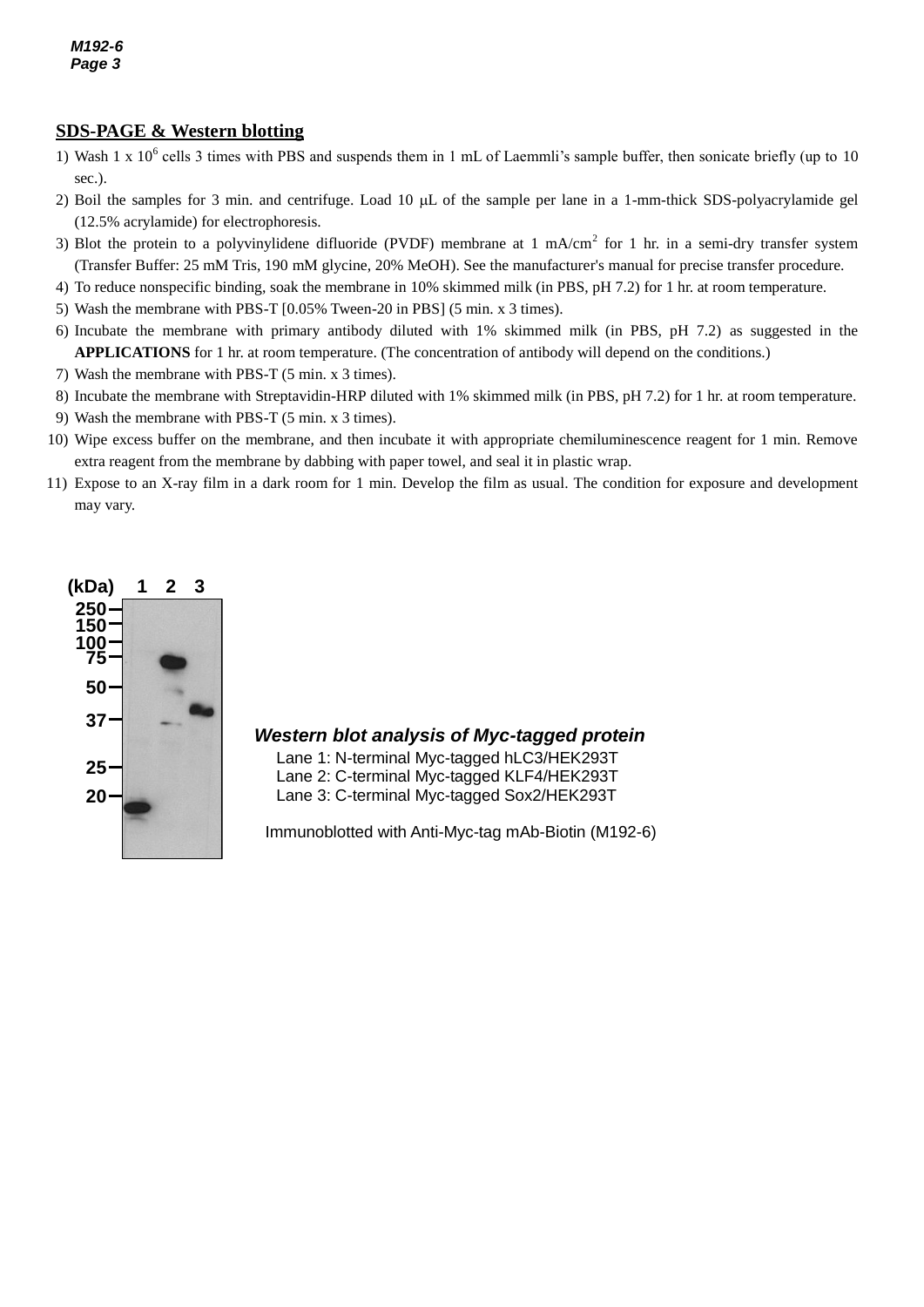#### **SDS-PAGE & Western blotting**

- 1) Wash 1 x  $10^6$  cells 3 times with PBS and suspends them in 1 mL of Laemmli's sample buffer, then sonicate briefly (up to 10 sec.).
- 2) Boil the samples for 3 min. and centrifuge. Load 10  $\mu$ L of the sample per lane in a 1-mm-thick SDS-polyacrylamide gel (12.5% acrylamide) for electrophoresis.
- 3) Blot the protein to a polyvinylidene difluoride (PVDF) membrane at 1 mA/cm<sup>2</sup> for 1 hr. in a semi-dry transfer system (Transfer Buffer: 25 mM Tris, 190 mM glycine, 20% MeOH). See the manufacturer's manual for precise transfer procedure.
- 4) To reduce nonspecific binding, soak the membrane in 10% skimmed milk (in PBS, pH 7.2) for 1 hr. at room temperature.
- 5) Wash the membrane with PBS-T [0.05% Tween-20 in PBS] (5 min. x 3 times).
- 6) Incubate the membrane with primary antibody diluted with 1% skimmed milk (in PBS, pH 7.2) as suggested in the **APPLICATIONS** for 1 hr. at room temperature. (The concentration of antibody will depend on the conditions.)
- 7) Wash the membrane with PBS-T (5 min. x 3 times).
- 8) Incubate the membrane with Streptavidin-HRP diluted with 1% skimmed milk (in PBS, pH 7.2) for 1 hr. at room temperature.
- 9) Wash the membrane with PBS-T (5 min. x 3 times).
- 10) Wipe excess buffer on the membrane, and then incubate it with appropriate chemiluminescence reagent for 1 min. Remove extra reagent from the membrane by dabbing with paper towel, and seal it in plastic wrap.
- 11) Expose to an X-ray film in a dark room for 1 min. Develop the film as usual. The condition for exposure and development may vary.



#### *Western blot analysis of Myc-tagged protein*

Lane 1: N-terminal Myc-tagged hLC3/HEK293T Lane 2: C-terminal Myc-tagged KLF4/HEK293T Lane 3: C-terminal Myc-tagged Sox2/HEK293T

Immunoblotted with Anti-Myc-tag mAb-Biotin (M192-6)